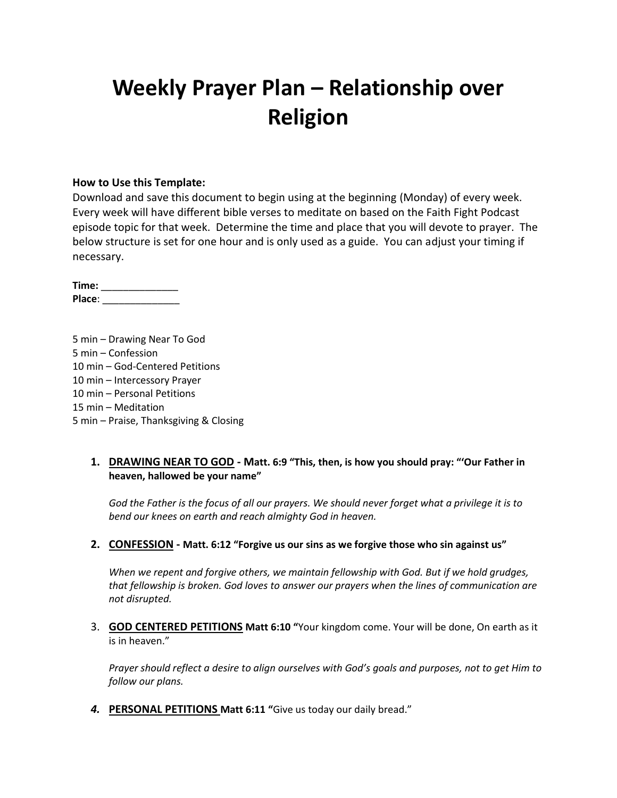# **Weekly Prayer Plan – Relationship over Religion**

### **How to Use this Template:**

Download and save this document to begin using at the beginning (Monday) of every week. Every week will have different bible verses to meditate on based on the Faith Fight Podcast episode topic for that week. Determine the time and place that you will devote to prayer. The below structure is set for one hour and is only used as a guide. You can adjust your timing if necessary.

**Time:** \_\_\_\_\_\_\_\_\_\_\_\_\_\_ **Place**: \_\_\_\_\_\_\_\_\_\_\_\_\_\_

5 min – Drawing Near To God 5 min – Confession 10 min – God-Centered Petitions 10 min – Intercessory Prayer 10 min – Personal Petitions 15 min – Meditation 5 min – Praise, Thanksgiving & Closing

### **1. DRAWING NEAR TO GOD - Matt. 6:9 "This, then, is how you should pray: "'Our Father in heaven, hallowed be your name"**

*God the Father is the focus of all our prayers. We should never forget what a privilege it is to bend our knees on earth and reach almighty God in heaven.*

#### **2. CONFESSION - Matt. 6:12 "Forgive us our sins as we forgive those who sin against us"**

*When we repent and forgive others, we maintain fellowship with God. But if we hold grudges, that fellowship is broken. God loves to answer our prayers when the lines of communication are not disrupted.*

3. **GOD CENTERED PETITIONS Matt 6:10 "**Your kingdom come. Your will be done, On earth as it is in heaven."

*Prayer should reflect a desire to align ourselves with God's goals and purposes, not to get Him to follow our plans.*

*4.* **PERSONAL PETITIONS Matt 6:11 "**Give us today our daily bread."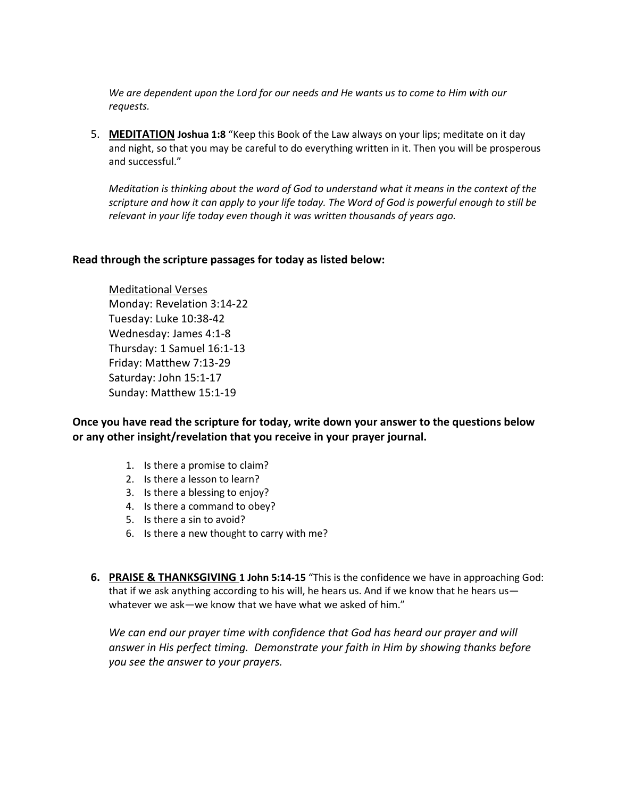*We are dependent upon the Lord for our needs and He wants us to come to Him with our requests.*

5. **MEDITATION Joshua 1:8** "Keep this Book of the Law always on your lips; meditate on it day and night, so that you may be careful to do everything written in it. Then you will be prosperous and successful."

*Meditation is thinking about the word of God to understand what it means in the context of the scripture and how it can apply to your life today. The Word of God is powerful enough to still be relevant in your life today even though it was written thousands of years ago.*

#### **Read through the scripture passages for today as listed below:**

Meditational Verses Monday: Revelation 3:14-22 Tuesday: Luke 10:38-42 Wednesday: James 4:1-8 Thursday: 1 Samuel 16:1-13 Friday: Matthew 7:13-29 Saturday: John 15:1-17 Sunday: Matthew 15:1-19

**Once you have read the scripture for today, write down your answer to the questions below or any other insight/revelation that you receive in your prayer journal.** 

- 1. Is there a promise to claim?
- 2. Is there a lesson to learn?
- 3. Is there a blessing to enjoy?
- 4. Is there a command to obey?
- 5. Is there a sin to avoid?
- 6. Is there a new thought to carry with me?
- **6. PRAISE & THANKSGIVING 1 John 5:14-15** "This is the confidence we have in approaching God: that if we ask anything according to his will, he hears us. And if we know that he hears us whatever we ask—we know that we have what we asked of him."

*We can end our prayer time with confidence that God has heard our prayer and will answer in His perfect timing. Demonstrate your faith in Him by showing thanks before you see the answer to your prayers.*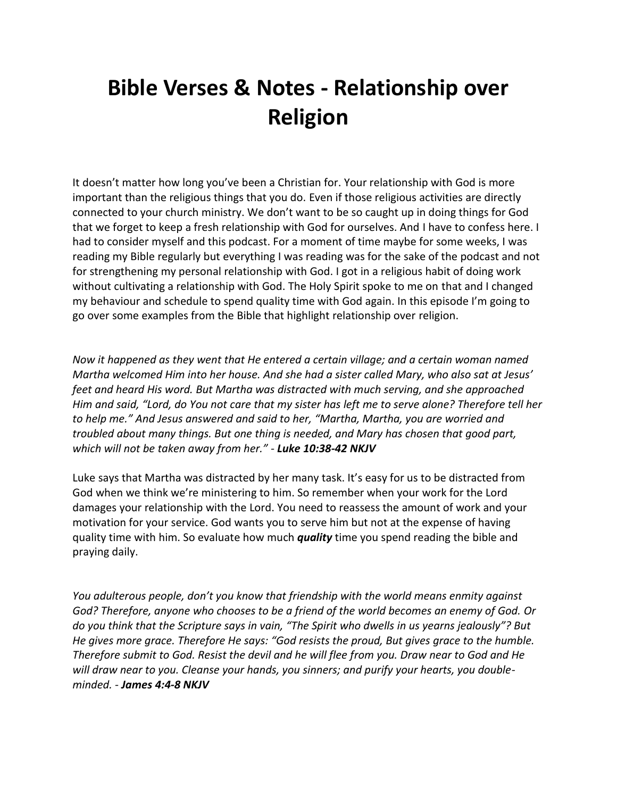# **Bible Verses & Notes - Relationship over Religion**

It doesn't matter how long you've been a Christian for. Your relationship with God is more important than the religious things that you do. Even if those religious activities are directly connected to your church ministry. We don't want to be so caught up in doing things for God that we forget to keep a fresh relationship with God for ourselves. And I have to confess here. I had to consider myself and this podcast. For a moment of time maybe for some weeks, I was reading my Bible regularly but everything I was reading was for the sake of the podcast and not for strengthening my personal relationship with God. I got in a religious habit of doing work without cultivating a relationship with God. The Holy Spirit spoke to me on that and I changed my behaviour and schedule to spend quality time with God again. In this episode I'm going to go over some examples from the Bible that highlight relationship over religion.

*Now it happened as they went that He entered a certain village; and a certain woman named Martha welcomed Him into her house. And she had a sister called Mary, who also sat at Jesus' feet and heard His word. But Martha was distracted with much serving, and she approached Him and said, "Lord, do You not care that my sister has left me to serve alone? Therefore tell her to help me." And Jesus answered and said to her, "Martha, Martha, you are worried and troubled about many things. But one thing is needed, and Mary has chosen that good part, which will not be taken away from her." - Luke 10:38-42 NKJV*

Luke says that Martha was distracted by her many task. It's easy for us to be distracted from God when we think we're ministering to him. So remember when your work for the Lord damages your relationship with the Lord. You need to reassess the amount of work and your motivation for your service. God wants you to serve him but not at the expense of having quality time with him. So evaluate how much *quality* time you spend reading the bible and praying daily.

*You adulterous people, don't you know that friendship with the world means enmity against God? Therefore, anyone who chooses to be a friend of the world becomes an enemy of God. Or do you think that the Scripture says in vain, "The Spirit who dwells in us yearns jealously"? But He gives more grace. Therefore He says: "God resists the proud, But gives grace to the humble. Therefore submit to God. Resist the devil and he will flee from you. Draw near to God and He will draw near to you. Cleanse your hands, you sinners; and purify your hearts, you doubleminded. - James 4:4-8 NKJV*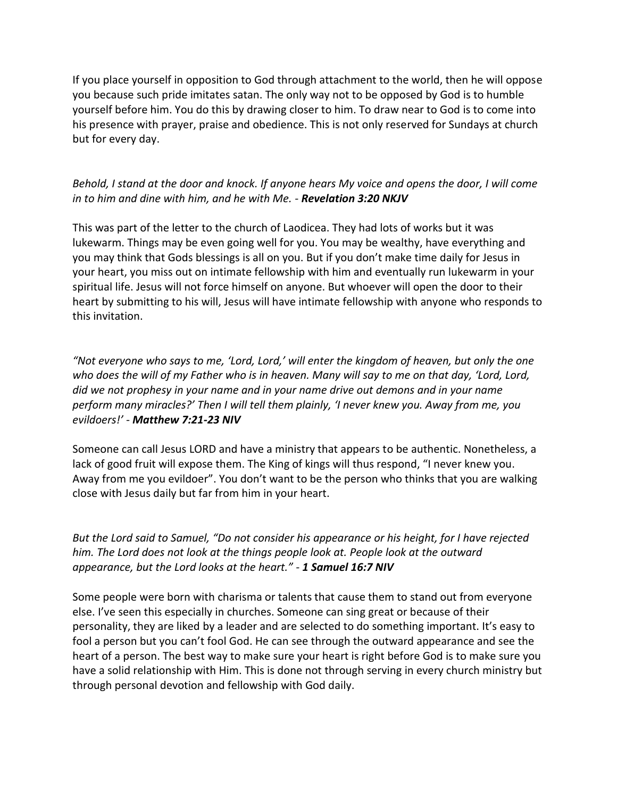If you place yourself in opposition to God through attachment to the world, then he will oppose you because such pride imitates satan. The only way not to be opposed by God is to humble yourself before him. You do this by drawing closer to him. To draw near to God is to come into his presence with prayer, praise and obedience. This is not only reserved for Sundays at church but for every day.

## *Behold, I stand at the door and knock. If anyone hears My voice and opens the door, I will come in to him and dine with him, and he with Me. - Revelation 3:20 NKJV*

This was part of the letter to the church of Laodicea. They had lots of works but it was lukewarm. Things may be even going well for you. You may be wealthy, have everything and you may think that Gods blessings is all on you. But if you don't make time daily for Jesus in your heart, you miss out on intimate fellowship with him and eventually run lukewarm in your spiritual life. Jesus will not force himself on anyone. But whoever will open the door to their heart by submitting to his will, Jesus will have intimate fellowship with anyone who responds to this invitation.

*"Not everyone who says to me, 'Lord, Lord,' will enter the kingdom of heaven, but only the one who does the will of my Father who is in heaven. Many will say to me on that day, 'Lord, Lord, did we not prophesy in your name and in your name drive out demons and in your name perform many miracles?' Then I will tell them plainly, 'I never knew you. Away from me, you evildoers!' - Matthew 7:21-23 NIV*

Someone can call Jesus LORD and have a ministry that appears to be authentic. Nonetheless, a lack of good fruit will expose them. The King of kings will thus respond, "I never knew you. Away from me you evildoer". You don't want to be the person who thinks that you are walking close with Jesus daily but far from him in your heart.

*But the Lord said to Samuel, "Do not consider his appearance or his height, for I have rejected him. The Lord does not look at the things people look at. People look at the outward appearance, but the Lord looks at the heart." - 1 Samuel 16:7 NIV*

Some people were born with charisma or talents that cause them to stand out from everyone else. I've seen this especially in churches. Someone can sing great or because of their personality, they are liked by a leader and are selected to do something important. It's easy to fool a person but you can't fool God. He can see through the outward appearance and see the heart of a person. The best way to make sure your heart is right before God is to make sure you have a solid relationship with Him. This is done not through serving in every church ministry but through personal devotion and fellowship with God daily.